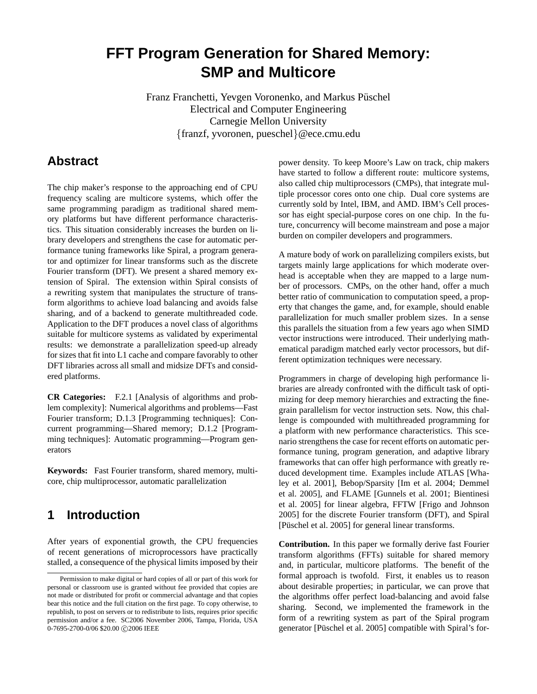# **FFT Program Generation for Shared Memory: SMP and Multicore**

Franz Franchetti, Yevgen Voronenko, and Markus Püschel Electrical and Computer Engineering Carnegie Mellon University {franzf, yvoronen, pueschel}@ece.cmu.edu

## **Abstract**

The chip maker's response to the approaching end of CPU frequency scaling are multicore systems, which offer the same programming paradigm as traditional shared memory platforms but have different performance characteristics. This situation considerably increases the burden on library developers and strengthens the case for automatic performance tuning frameworks like Spiral, a program generator and optimizer for linear transforms such as the discrete Fourier transform (DFT). We present a shared memory extension of Spiral. The extension within Spiral consists of a rewriting system that manipulates the structure of transform algorithms to achieve load balancing and avoids false sharing, and of a backend to generate multithreaded code. Application to the DFT produces a novel class of algorithms suitable for multicore systems as validated by experimental results: we demonstrate a parallelization speed-up already for sizes that fit into L1 cache and compare favorably to other DFT libraries across all small and midsize DFTs and considered platforms.

**CR Categories:** F.2.1 [Analysis of algorithms and problem complexity]: Numerical algorithms and problems—Fast Fourier transform; D.1.3 [Programming techniques]: Concurrent programming—Shared memory; D.1.2 [Programming techniques]: Automatic programming—Program generators

**Keywords:** Fast Fourier transform, shared memory, multicore, chip multiprocessor, automatic parallelization

## **1 Introduction**

After years of exponential growth, the CPU frequencies of recent generations of microprocessors have practically stalled, a consequence of the physical limits imposed by their power density. To keep Moore's Law on track, chip makers have started to follow a different route: multicore systems, also called chip multiprocessors (CMPs), that integrate multiple processor cores onto one chip. Dual core systems are currently sold by Intel, IBM, and AMD. IBM's Cell processor has eight special-purpose cores on one chip. In the future, concurrency will become mainstream and pose a major burden on compiler developers and programmers.

A mature body of work on parallelizing compilers exists, but targets mainly large applications for which moderate overhead is acceptable when they are mapped to a large number of processors. CMPs, on the other hand, offer a much better ratio of communication to computation speed, a property that changes the game, and, for example, should enable parallelization for much smaller problem sizes. In a sense this parallels the situation from a few years ago when SIMD vector instructions were introduced. Their underlying mathematical paradigm matched early vector processors, but different optimization techniques were necessary.

Programmers in charge of developing high performance libraries are already confronted with the difficult task of optimizing for deep memory hierarchies and extracting the finegrain parallelism for vector instruction sets. Now, this challenge is compounded with multithreaded programming for a platform with new performance characteristics. This scenario strengthens the case for recent efforts on automatic performance tuning, program generation, and adaptive library frameworks that can offer high performance with greatly reduced development time. Examples include ATLAS [Whaley et al. 2001], Bebop/Sparsity [Im et al. 2004; Demmel et al. 2005], and FLAME [Gunnels et al. 2001; Bientinesi et al. 2005] for linear algebra, FFTW [Frigo and Johnson 2005] for the discrete Fourier transform (DFT), and Spiral [Püschel et al. 2005] for general linear transforms.

**Contribution.** In this paper we formally derive fast Fourier transform algorithms (FFTs) suitable for shared memory and, in particular, multicore platforms. The benefit of the formal approach is twofold. First, it enables us to reason about desirable properties; in particular, we can prove that the algorithms offer perfect load-balancing and avoid false sharing. Second, we implemented the framework in the form of a rewriting system as part of the Spiral program generator [Püschel et al. 2005] compatible with Spiral's for-

Permission to make digital or hard copies of all or part of this work for personal or classroom use is granted without fee provided that copies are not made or distributed for profit or commercial advantage and that copies bear this notice and the full citation on the first page. To copy otherwise, to republish, to post on servers or to redistribute to lists, requires prior specific permission and/or a fee. SC2006 November 2006, Tampa, Florida, USA 0-7695-2700-0/06 \$20.00 © 2006 IEEE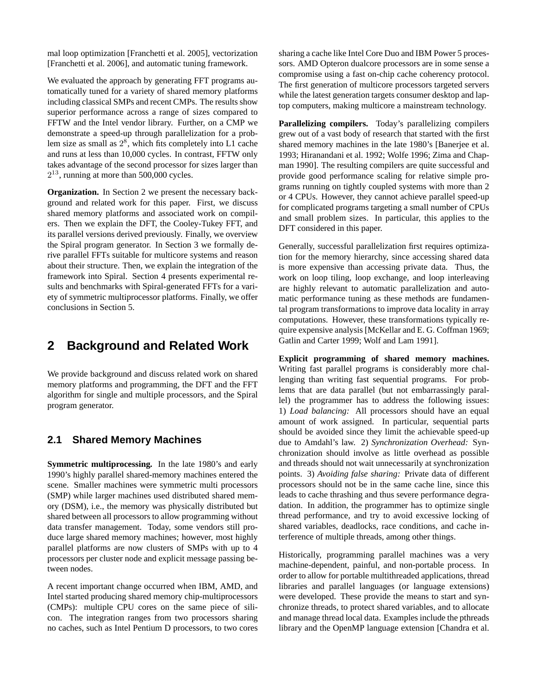mal loop optimization [Franchetti et al. 2005], vectorization [Franchetti et al. 2006], and automatic tuning framework.

We evaluated the approach by generating FFT programs automatically tuned for a variety of shared memory platforms including classical SMPs and recent CMPs. The results show superior performance across a range of sizes compared to FFTW and the Intel vendor library. Further, on a CMP we demonstrate a speed-up through parallelization for a problem size as small as  $2^8$ , which fits completely into L1 cache and runs at less than 10,000 cycles. In contrast, FFTW only takes advantage of the second processor for sizes larger than  $2^{13}$ , running at more than 500,000 cycles.

**Organization.** In Section 2 we present the necessary background and related work for this paper. First, we discuss shared memory platforms and associated work on compilers. Then we explain the DFT, the Cooley-Tukey FFT, and its parallel versions derived previously. Finally, we overview the Spiral program generator. In Section 3 we formally derive parallel FFTs suitable for multicore systems and reason about their structure. Then, we explain the integration of the framework into Spiral. Section 4 presents experimental results and benchmarks with Spiral-generated FFTs for a variety of symmetric multiprocessor platforms. Finally, we offer conclusions in Section 5.

## **2 Background and Related Work**

We provide background and discuss related work on shared memory platforms and programming, the DFT and the FFT algorithm for single and multiple processors, and the Spiral program generator.

### **2.1 Shared Memory Machines**

**Symmetric multiprocessing.** In the late 1980's and early 1990's highly parallel shared-memory machines entered the scene. Smaller machines were symmetric multi processors (SMP) while larger machines used distributed shared memory (DSM), i.e., the memory was physically distributed but shared between all processors to allow programming without data transfer management. Today, some vendors still produce large shared memory machines; however, most highly parallel platforms are now clusters of SMPs with up to 4 processors per cluster node and explicit message passing between nodes.

A recent important change occurred when IBM, AMD, and Intel started producing shared memory chip-multiprocessors (CMPs): multiple CPU cores on the same piece of silicon. The integration ranges from two processors sharing no caches, such as Intel Pentium D processors, to two cores sharing a cache like Intel Core Duo and IBM Power 5 processors. AMD Opteron dualcore processors are in some sense a compromise using a fast on-chip cache coherency protocol. The first generation of multicore processors targeted servers while the latest generation targets consumer desktop and laptop computers, making multicore a mainstream technology.

**Parallelizing compilers.** Today's parallelizing compilers grew out of a vast body of research that started with the first shared memory machines in the late 1980's [Banerjee et al. 1993; Hiranandani et al. 1992; Wolfe 1996; Zima and Chapman 1990]. The resulting compilers are quite successful and provide good performance scaling for relative simple programs running on tightly coupled systems with more than 2 or 4 CPUs. However, they cannot achieve parallel speed-up for complicated programs targeting a small number of CPUs and small problem sizes. In particular, this applies to the DFT considered in this paper.

Generally, successful parallelization first requires optimization for the memory hierarchy, since accessing shared data is more expensive than accessing private data. Thus, the work on loop tiling, loop exchange, and loop interleaving are highly relevant to automatic parallelization and automatic performance tuning as these methods are fundamental program transformations to improve data locality in array computations. However, these transformations typically require expensive analysis [McKellar and E. G. Coffman 1969; Gatlin and Carter 1999; Wolf and Lam 1991].

**Explicit programming of shared memory machines.** Writing fast parallel programs is considerably more challenging than writing fast sequential programs. For problems that are data parallel (but not embarrassingly parallel) the programmer has to address the following issues: 1) *Load balancing:* All processors should have an equal amount of work assigned. In particular, sequential parts should be avoided since they limit the achievable speed-up due to Amdahl's law. 2) *Synchronization Overhead:* Synchronization should involve as little overhead as possible and threads should not wait unnecessarily at synchronization points. 3) *Avoiding false sharing:* Private data of different processors should not be in the same cache line, since this leads to cache thrashing and thus severe performance degradation. In addition, the programmer has to optimize single thread performance, and try to avoid excessive locking of shared variables, deadlocks, race conditions, and cache interference of multiple threads, among other things.

Historically, programming parallel machines was a very machine-dependent, painful, and non-portable process. In order to allow for portable multithreaded applications, thread libraries and parallel languages (or language extensions) were developed. These provide the means to start and synchronize threads, to protect shared variables, and to allocate and manage thread local data. Examples include the pthreads library and the OpenMP language extension [Chandra et al.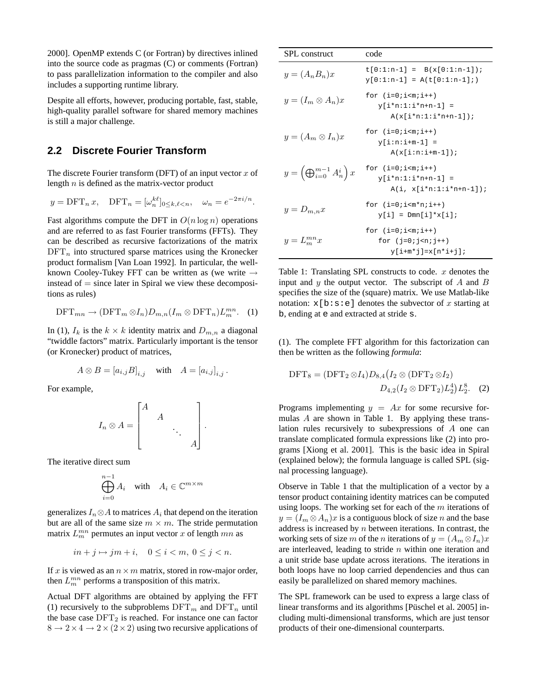2000]. OpenMP extends C (or Fortran) by directives inlined into the source code as pragmas (C) or comments (Fortran) to pass parallelization information to the compiler and also includes a supporting runtime library.

Despite all efforts, however, producing portable, fast, stable, high-quality parallel software for shared memory machines is still a major challenge.

### **2.2 Discrete Fourier Transform**

The discrete Fourier transform (DFT) of an input vector  $x$  of length  $n$  is defined as the matrix-vector product

$$
y = \text{DFT}_n x
$$
,  $\text{DFT}_n = [\omega_n^{k\ell}]_{0 \le k,\ell < n}$ ,  $\omega_n = e^{-2\pi i/n}$ .

Fast algorithms compute the DFT in  $O(n \log n)$  operations and are referred to as fast Fourier transforms (FFTs). They can be described as recursive factorizations of the matrix  $\text{DFT}_n$  into structured sparse matrices using the Kronecker product formalism [Van Loan 1992]. In particular, the wellknown Cooley-Tukey FFT can be written as (we write  $\rightarrow$ instead of  $=$  since later in Spiral we view these decompositions as rules)

$$
\text{DFT}_{mn} \to (\text{DFT}_m \otimes I_n) D_{m,n} (I_m \otimes \text{DFT}_n) L_m^{mn}. \quad (1)
$$

In (1),  $I_k$  is the  $k \times k$  identity matrix and  $D_{m,n}$  a diagonal "twiddle factors" matrix. Particularly important is the tensor (or Kronecker) product of matrices,

$$
A \otimes B = [a_{i,j}B]_{i,j} \quad \text{with} \quad A = [a_{i,j}]_{i,j}.
$$

For example,

$$
I_n \otimes A = \begin{bmatrix} A & & & \\ & A & & \\ & & \ddots & \\ & & & A \end{bmatrix}.
$$

The iterative direct sum

$$
\bigoplus_{i=0}^{n-1} A_i \quad \text{with} \quad A_i \in \mathbb{C}^{m \times m}
$$

generalizes  $I_n \otimes A$  to matrices  $A_i$  that depend on the iteration but are all of the same size  $m \times m$ . The stride permutation matrix  $L_m^{mn}$  permutes an input vector x of length  $mn$  as

$$
in+j \mapsto jm+i, \quad 0 \le i < m, \ 0 \le j < n.
$$

If x is viewed as an  $n \times m$  matrix, stored in row-major order, then  $L_m^{mn}$  performs a transposition of this matrix.

Actual DFT algorithms are obtained by applying the FFT (1) recursively to the subproblems  $\text{DFT}_m$  and  $\text{DFT}_n$  until the base case  $DFT_2$  is reached. For instance one can factor  $8 \rightarrow 2 \times 4 \rightarrow 2 \times (2 \times 2)$  using two recursive applications of

| <b>SPL</b> construct                            | code                                                                     |
|-------------------------------------------------|--------------------------------------------------------------------------|
| $y=(A_nB_n)x$                                   | $t[0:1:n-1] = B(x[0:1:n-1]);$<br>$y[0:1:n-1] = A(t[0:1:n-1];)$           |
| $y=(I_m\otimes A_n)x$                           | for $(i=0,iy[i*m:1:i*n+n-1] =A(x[i*n:1:i*n+n-1]);$                       |
| $y=(A_m\otimes I_n)x$                           | for $(i=0,iy[i:n:i+m-1] =A(x[i:n:i+m-1]);$                               |
| $y = \left(\bigoplus_{i=0}^{m-1} A_n^i\right)x$ | for $(i=0,i=m,i++)$<br>$y[i*m:1:i*n+n-1] =$<br>$A(i, x[i*n:1:i*n+n-1]);$ |
| $y = D_{m,n}x$                                  | for $(i=0:iy[i] = Dmn[i]*x[i];$                                          |
| $y=L_m^{mn}x$                                   | for $(i=0,i=m,i++)$<br>for $(j=0:jy[i+m * j] = x[n * i + j];$            |

Table 1: Translating SPL constructs to code.  $x$  denotes the input and  $y$  the output vector. The subscript of  $A$  and  $B$ specifies the size of the (square) matrix. We use Matlab-like notation:  $x[b:s:e]$  denotes the subvector of x starting at b, ending at e and extracted at stride s.

(1). The complete FFT algorithm for this factorization can then be written as the following *formula*:

$$
DFT_8 = (DFT_2 \otimes I_4)D_{8,4}(I_2 \otimes (DFT_2 \otimes I_2) D_{4,2}(I_2 \otimes DFT_2)L_2^4)L_2^8.
$$
 (2)

Programs implementing  $y = Ax$  for some recursive formulas A are shown in Table 1. By applying these translation rules recursively to subexpressions of A one can translate complicated formula expressions like (2) into programs [Xiong et al. 2001]. This is the basic idea in Spiral (explained below); the formula language is called SPL (signal processing language).

Observe in Table 1 that the multiplication of a vector by a tensor product containing identity matrices can be computed using loops. The working set for each of the  $m$  iterations of  $y = (I_m \otimes A_n)x$  is a contiguous block of size n and the base address is increased by  $n$  between iterations. In contrast, the working sets of size m of the n iterations of  $y = (A_m \otimes I_n)x$ are interleaved, leading to stride  $n$  within one iteration and a unit stride base update across iterations. The iterations in both loops have no loop carried dependencies and thus can easily be parallelized on shared memory machines.

The SPL framework can be used to express a large class of linear transforms and its algorithms [Püschel et al. 2005] including multi-dimensional transforms, which are just tensor products of their one-dimensional counterparts.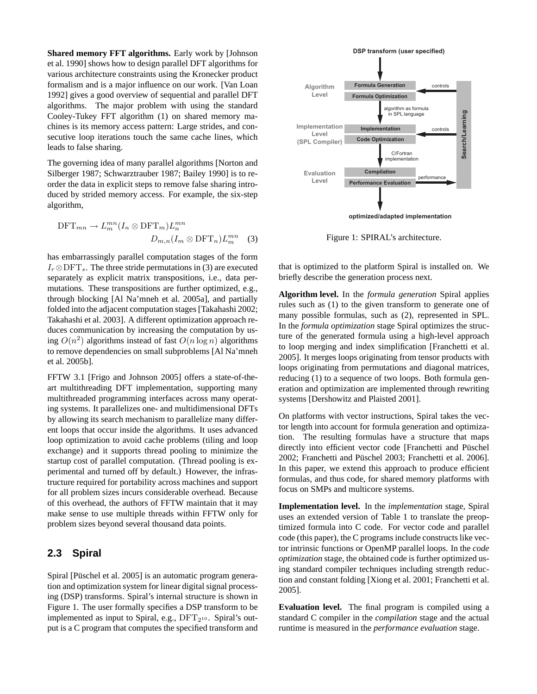**Shared memory FFT algorithms.** Early work by [Johnson et al. 1990] shows how to design parallel DFT algorithms for various architecture constraints using the Kronecker product formalism and is a major influence on our work. [Van Loan 1992] gives a good overview of sequential and parallel DFT algorithms. The major problem with using the standard Cooley-Tukey FFT algorithm (1) on shared memory machines is its memory access pattern: Large strides, and consecutive loop iterations touch the same cache lines, which leads to false sharing.

The governing idea of many parallel algorithms [Norton and Silberger 1987; Schwarztrauber 1987; Bailey 1990] is to reorder the data in explicit steps to remove false sharing introduced by strided memory access. For example, the six-step algorithm,

$$
\text{DFT}_{mn} \to L_m^{mn}(I_n \otimes \text{DFT}_m)L_n^{mn}
$$

$$
D_{m,n}(I_m \otimes \text{DFT}_n)L_m^{mn} \quad (3)
$$

has embarrassingly parallel computation stages of the form  $I_r \otimes \text{DFT}_s$ . The three stride permutations in (3) are executed separately as explicit matrix transpositions, i.e., data permutations. These transpositions are further optimized, e.g., through blocking [Al Na'mneh et al. 2005a], and partially folded into the adjacent computation stages [Takahashi 2002; Takahashi et al. 2003]. A different optimization approach reduces communication by increasing the computation by using  $O(n^2)$  algorithms instead of fast  $O(n \log n)$  algorithms to remove dependencies on small subproblems [Al Na'mneh et al. 2005b].

FFTW 3.1 [Frigo and Johnson 2005] offers a state-of-theart multithreading DFT implementation, supporting many multithreaded programming interfaces across many operating systems. It parallelizes one- and multidimensional DFTs by allowing its search mechanism to parallelize many different loops that occur inside the algorithms. It uses advanced loop optimization to avoid cache problems (tiling and loop exchange) and it supports thread pooling to minimize the startup cost of parallel computation. (Thread pooling is experimental and turned off by default.) However, the infrastructure required for portability across machines and support for all problem sizes incurs considerable overhead. Because of this overhead, the authors of FFTW maintain that it may make sense to use multiple threads within FFTW only for problem sizes beyond several thousand data points.

### **2.3 Spiral**

Spiral [Püschel et al. 2005] is an automatic program generation and optimization system for linear digital signal processing (DSP) transforms. Spiral's internal structure is shown in Figure 1. The user formally specifies a DSP transform to be implemented as input to Spiral, e.g.,  $DFT_{2^{10}}$ . Spiral's output is a C program that computes the specified transform and



Figure 1: SPIRAL's architecture.

that is optimized to the platform Spiral is installed on. We briefly describe the generation process next.

**Algorithm level.** In the *formula generation* Spiral applies rules such as (1) to the given transform to generate one of many possible formulas, such as (2), represented in SPL. In the *formula optimization* stage Spiral optimizes the structure of the generated formula using a high-level approach to loop merging and index simplification [Franchetti et al. 2005]. It merges loops originating from tensor products with loops originating from permutations and diagonal matrices, reducing (1) to a sequence of two loops. Both formula generation and optimization are implemented through rewriting systems [Dershowitz and Plaisted 2001].

On platforms with vector instructions, Spiral takes the vector length into account for formula generation and optimization. The resulting formulas have a structure that maps directly into efficient vector code [Franchetti and Püschel 2002; Franchetti and Püschel 2003; Franchetti et al. 2006]. In this paper, we extend this approach to produce efficient formulas, and thus code, for shared memory platforms with focus on SMPs and multicore systems.

**Implementation level.** In the *implementation* stage, Spiral uses an extended version of Table 1 to translate the preoptimized formula into C code. For vector code and parallel code (this paper), the C programs include constructs like vector intrinsic functions or OpenMP parallel loops. In the *code optimization* stage, the obtained code is further optimized using standard compiler techniques including strength reduction and constant folding [Xiong et al. 2001; Franchetti et al. 2005].

**Evaluation level.** The final program is compiled using a standard C compiler in the *compilation* stage and the actual runtime is measured in the *performance evaluation* stage.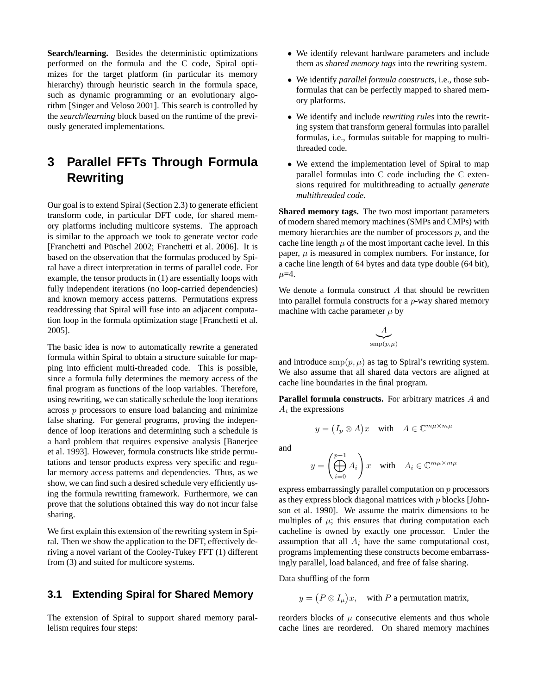**Search/learning.** Besides the deterministic optimizations performed on the formula and the C code, Spiral optimizes for the target platform (in particular its memory hierarchy) through heuristic search in the formula space, such as dynamic programming or an evolutionary algorithm [Singer and Veloso 2001]. This search is controlled by the *search/learning* block based on the runtime of the previously generated implementations.

## **3 Parallel FFTs Through Formula Rewriting**

Our goal is to extend Spiral (Section 2.3) to generate efficient transform code, in particular DFT code, for shared memory platforms including multicore systems. The approach is similar to the approach we took to generate vector code [Franchetti and Püschel 2002; Franchetti et al. 2006]. It is based on the observation that the formulas produced by Spiral have a direct interpretation in terms of parallel code. For example, the tensor products in (1) are essentially loops with fully independent iterations (no loop-carried dependencies) and known memory access patterns. Permutations express readdressing that Spiral will fuse into an adjacent computation loop in the formula optimization stage [Franchetti et al. 2005].

The basic idea is now to automatically rewrite a generated formula within Spiral to obtain a structure suitable for mapping into efficient multi-threaded code. This is possible, since a formula fully determines the memory access of the final program as functions of the loop variables. Therefore, using rewriting, we can statically schedule the loop iterations across  $p$  processors to ensure load balancing and minimize false sharing. For general programs, proving the independence of loop iterations and determining such a schedule is a hard problem that requires expensive analysis [Banerjee et al. 1993]. However, formula constructs like stride permutations and tensor products express very specific and regular memory access patterns and dependencies. Thus, as we show, we can find such a desired schedule very efficiently using the formula rewriting framework. Furthermore, we can prove that the solutions obtained this way do not incur false sharing.

We first explain this extension of the rewriting system in Spiral. Then we show the application to the DFT, effectively deriving a novel variant of the Cooley-Tukey FFT (1) different from (3) and suited for multicore systems.

### **3.1 Extending Spiral for Shared Memory**

The extension of Spiral to support shared memory parallelism requires four steps:

- We identify relevant hardware parameters and include them as *shared memory tags* into the rewriting system.
- We identify *parallel formula constructs*, i.e., those subformulas that can be perfectly mapped to shared memory platforms.
- We identify and include *rewriting rules* into the rewriting system that transform general formulas into parallel formulas, i.e., formulas suitable for mapping to multithreaded code.
- We extend the implementation level of Spiral to map parallel formulas into C code including the C extensions required for multithreading to actually *generate multithreaded code*.

**Shared memory tags.** The two most important parameters of modern shared memory machines (SMPs and CMPs) with memory hierarchies are the number of processors  $p$ , and the cache line length  $\mu$  of the most important cache level. In this paper,  $\mu$  is measured in complex numbers. For instance, for a cache line length of 64 bytes and data type double (64 bit),  $\mu$ =4.

We denote a formula construct  $A$  that should be rewritten into parallel formula constructs for a p-way shared memory machine with cache parameter  $\mu$  by

$$
\underbrace{A}_{\text{smp}(p,\mu)}
$$

and introduce  $\text{sup}(p, \mu)$  as tag to Spiral's rewriting system. We also assume that all shared data vectors are aligned at cache line boundaries in the final program.

**Parallel formula constructs.** For arbitrary matrices A and  $A_i$  the expressions

x with  $A \in \mathbb{C}^{m\mu \times m\mu}$ 

and

$$
y = \left(\bigoplus^{p-1} A_i\right) x \quad \text{with} \quad A_i \in \mathbb{C}^{m\mu \times m\mu}
$$

 $i=0$ express embarrassingly parallel computation on  $p$  processors as they express block diagonal matrices with  $p$  blocks [Johnson et al. 1990]. We assume the matrix dimensions to be multiples of  $\mu$ ; this ensures that during computation each cacheline is owned by exactly one processor. Under the assumption that all  $A_i$  have the same computational cost, programs implementing these constructs become embarrassingly parallel, load balanced, and free of false sharing.

Data shuffling of the form

 $y =$ ¡  $I_p \otimes A$ ¢

$$
y = (P \otimes I_{\mu})x
$$
, with P a permutation matrix,

reorders blocks of  $\mu$  consecutive elements and thus whole cache lines are reordered. On shared memory machines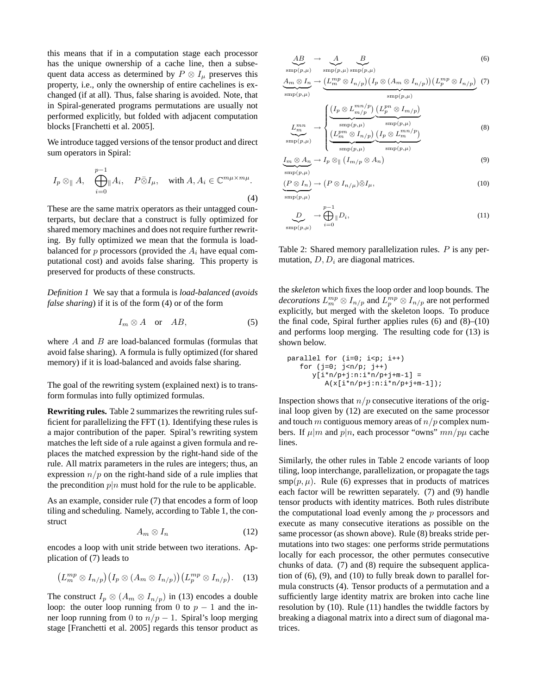this means that if in a computation stage each processor has the unique ownership of a cache line, then a subsequent data access as determined by  $P \otimes I_u$  preserves this property, i.e., only the ownership of entire cachelines is exchanged (if at all). Thus, false sharing is avoided. Note, that in Spiral-generated programs permutations are usually not performed explicitly, but folded with adjacent computation blocks [Franchetti et al. 2005].

We introduce tagged versions of the tensor product and direct sum operators in Spiral:

$$
I_p \otimes_{\parallel} A, \quad \bigoplus_{i=0}^{p-1} |A_i, \quad P \bar{\otimes} I_{\mu}, \quad \text{with } A, A_i \in \mathbb{C}^{m\mu \times m\mu}.
$$
\n
$$
\tag{4}
$$

These are the same matrix operators as their untagged counterparts, but declare that a construct is fully optimized for shared memory machines and does not require further rewriting. By fully optimized we mean that the formula is loadbalanced for  $p$  processors (provided the  $A_i$  have equal computational cost) and avoids false sharing. This property is preserved for products of these constructs.

*Definition 1* We say that a formula is *load-balanced* (*avoids false sharing*) if it is of the form (4) or of the form

$$
I_m \otimes A \quad \text{or} \quad AB,\tag{5}
$$

where  $A$  and  $B$  are load-balanced formulas (formulas that avoid false sharing). A formula is fully optimized (for shared memory) if it is load-balanced and avoids false sharing.

The goal of the rewriting system (explained next) is to transform formulas into fully optimized formulas.

**Rewriting rules.** Table 2 summarizes the rewriting rules sufficient for parallelizing the FFT (1). Identifying these rules is a major contribution of the paper. Spiral's rewriting system matches the left side of a rule against a given formula and replaces the matched expression by the right-hand side of the rule. All matrix parameters in the rules are integers; thus, an expression  $n/p$  on the right-hand side of a rule implies that the precondition  $p|n$  must hold for the rule to be applicable.

As an example, consider rule (7) that encodes a form of loop tiling and scheduling. Namely, according to Table 1, the construct

$$
A_m \otimes I_n \tag{12}
$$

encodes a loop with unit stride between two iterations. Application of (7) leads to

$$
\left(L_m^{mp} \otimes I_{n/p}\right)\left(I_p \otimes \left(A_m \otimes I_{n/p}\right)\right)\left(L_p^{mp} \otimes I_{n/p}\right).
$$
 (13)

The construct  $I_p \otimes (A_m \otimes I_{n/p})$  in (13) encodes a double loop: the outer loop running from 0 to  $p - 1$  and the inner loop running from 0 to  $n/p - 1$ . Spiral's loop merging stage [Franchetti et al. 2005] regards this tensor product as

$$
\underbrace{AB}_{\text{smp}(p,\mu)} \rightarrow \underbrace{A}_{\text{smp}(p,\mu)} \underbrace{B}_{\text{smp}(p,\mu)} \tag{6}
$$

$$
\underbrace{A_m \otimes I_n}_{\text{smn}(n,\mu)} \to \underbrace{(L_m^{mp} \otimes I_{n/p})(I_p \otimes (A_m \otimes I_{n/p})) (L_p^{mp} \otimes I_{n/p})}_{\text{smn}(n,\mu)} \tag{7}
$$

$$
\underbrace{L_m^{mn}}_{\text{smp}(p,\mu)} \rightarrow \underbrace{\left(\frac{(I_p \otimes L_{m/p}^{mn/p})}{\text{smp}(p,\mu)} \underbrace{(L_p^{pn} \otimes I_{m/p})}_{\text{smp}(p,\mu)}\right)}_{\text{smp}(p,\mu)} \tag{8}
$$

 $\epsilon$ mp $(n, u)$ 

$$
\underbrace{I_m \otimes A_n}_{\text{supp}(p,\mu)} \to I_p \otimes_{\parallel} (I_{m/p} \otimes A_n)
$$
\n(9)

 $\sinh(n, u)$ 

$$
\underbrace{(P \otimes I_n)}_{\text{smp}(p,\mu)} \to \left(P \otimes I_{n/\mu}\right) \bar{\otimes} I_{\mu},\tag{10}
$$

$$
\underbrace{D}_{\text{smp}(p,\mu)} \to \bigoplus_{i=0}^{p-1} |D_i,\tag{11}
$$

Table 2: Shared memory parallelization rules.  $P$  is any permutation,  $D, D_i$  are diagonal matrices.

the *skeleton* which fixes the loop order and loop bounds. The *decorations*  $L_m^{mp} \otimes I_{n/p}$  and  $L_p^{mp} \otimes I_{n/p}$  are not performed explicitly, but merged with the skeleton loops. To produce the final code, Spiral further applies rules  $(6)$  and  $(8)$ – $(10)$ and performs loop merging. The resulting code for (13) is shown below.

$$
\begin{array}{ll}\n\text{parallel for} \quad (i=0; \quad i
$$

Inspection shows that  $n/p$  consecutive iterations of the original loop given by (12) are executed on the same processor and touch m contiguous memory areas of  $n/p$  complex numbers. If  $\mu|m$  and  $p|n$ , each processor "owns"  $mn/p\mu$  cache lines.

Similarly, the other rules in Table 2 encode variants of loop tiling, loop interchange, parallelization, or propagate the tags  $smp(p, \mu)$ . Rule (6) expresses that in products of matrices each factor will be rewritten separately. (7) and (9) handle tensor products with identity matrices. Both rules distribute the computational load evenly among the  $p$  processors and execute as many consecutive iterations as possible on the same processor (as shown above). Rule (8) breaks stride permutations into two stages: one performs stride permutations locally for each processor, the other permutes consecutive chunks of data. (7) and (8) require the subsequent application of (6), (9), and (10) to fully break down to parallel formula constructs (4). Tensor products of a permutation and a sufficiently large identity matrix are broken into cache line resolution by (10). Rule (11) handles the twiddle factors by breaking a diagonal matrix into a direct sum of diagonal matrices.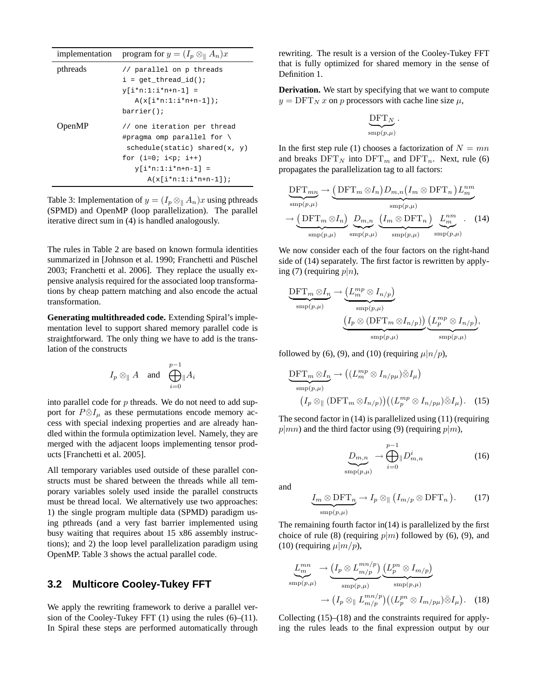|          | implementation program for $y = (I_p \otimes_{\parallel} A_n)x$                                                                                                         |  |  |  |  |
|----------|-------------------------------------------------------------------------------------------------------------------------------------------------------------------------|--|--|--|--|
| pthreads | // parallel on p threads                                                                                                                                                |  |  |  |  |
|          | $i = get_{thread_id()};$                                                                                                                                                |  |  |  |  |
|          | $y[i*m:1:i*n+n-1] =$                                                                                                                                                    |  |  |  |  |
|          | $A(x[i*n:1:i*n+n-1]);$                                                                                                                                                  |  |  |  |  |
|          | barrier();                                                                                                                                                              |  |  |  |  |
| OpenMP   | // one iteration per thread<br>#pragma omp parallel for \<br>schedule(static) shared(x, y)<br>for $(i=0; i < p; i++)$<br>$y[i*m:1:i*n+n-1] =$<br>$A(x[i*n:1:i*n+n-1]);$ |  |  |  |  |

Table 3: Implementation of  $y = (I_p \otimes_A A_n)x$  using pthreads (SPMD) and OpenMP (loop parallelization). The parallel iterative direct sum in (4) is handled analogously.

The rules in Table 2 are based on known formula identities summarized in [Johnson et al. 1990; Franchetti and Püschel 2003; Franchetti et al. 2006]. They replace the usually expensive analysis required for the associated loop transformations by cheap pattern matching and also encode the actual transformation.

**Generating multithreaded code.** Extending Spiral's implementation level to support shared memory parallel code is straightforward. The only thing we have to add is the translation of the constructs

$$
I_p \otimes_{\parallel} A \quad \text{and} \quad \bigoplus_{i=0}^{p-1} \parallel A_i
$$

into parallel code for  $p$  threads. We do not need to add support for  $P\bar{\otimes} I_{\mu}$  as these permutations encode memory access with special indexing properties and are already handled within the formula optimization level. Namely, they are merged with the adjacent loops implementing tensor products [Franchetti et al. 2005].

All temporary variables used outside of these parallel constructs must be shared between the threads while all temporary variables solely used inside the parallel constructs must be thread local. We alternatively use two approaches: 1) the single program multiple data (SPMD) paradigm using pthreads (and a very fast barrier implemented using busy waiting that requires about 15 x86 assembly instructions); and 2) the loop level parallelization paradigm using OpenMP. Table 3 shows the actual parallel code.

#### **3.2 Multicore Cooley-Tukey FFT**

We apply the rewriting framework to derive a parallel version of the Cooley-Tukey FFT (1) using the rules (6)–(11). In Spiral these steps are performed automatically through rewriting. The result is a version of the Cooley-Tukey FFT that is fully optimized for shared memory in the sense of Definition 1.

**Derivation.** We start by specifying that we want to compute  $y = DFT_N x$  on p processors with cache line size  $\mu$ ,

$$
\underbrace{\mathrm{DFT}_N}_{\mathrm{smp}(p,\mu)}.
$$

In the first step rule (1) chooses a factorization of  $N = mn$ and breaks  $DFT_N$  into  $DFT_m$  and  $DFT_n$ . Next, rule (6) propagates the parallelization tag to all factors:

$$
\underbrace{\text{DFT}_{mn}}_{\text{smp}(p,\mu)} \rightarrow \underbrace{\text{(DFT}_m \otimes I_n) D_{m,n} (I_m \otimes \text{DFT}_n) L_m^{nm}}_{\text{smp}(p,\mu)} \\
\rightarrow \underbrace{\text{(DFT}_m \otimes I_n)}_{\text{smp}(p,\mu)} \underbrace{D_{m,n}}_{\text{smp}(p,\mu)} \underbrace{\text{(I_m \otimes \text{DFT}_n)}_{\text{smp}(p,\mu)}} \underbrace{L_m^{nm}}_{\text{smp}(p,\mu)}.
$$
(14)

We now consider each of the four factors on the right-hand side of (14) separately. The first factor is rewritten by applying (7) (requiring  $p|n$ ),

$$
\underbrace{\text{DFT}_{m} \otimes I_{n}}_{\text{smp}(p,\mu)} \rightarrow \underbrace{\left(L_{m}^{mp} \otimes I_{n/p}\right)}_{\text{smp}(p,\mu)} \underbrace{\left(I_{p} \otimes \left(\text{DFT}_{m} \otimes I_{n/p}\right)\right)}_{\text{smp}(p,\mu)} \underbrace{\left(L_{p}^{mp} \otimes I_{n/p}\right)}_{\text{smp}(p,\mu)},
$$

followed by (6), (9), and (10) (requiring  $\mu |n/p$ ),

$$
\underbrace{\mathrm{DFT}_m \otimes I_n}_{\mathrm{sup}(p,\mu)} \to ((L_m^{mp} \otimes I_{n/p\mu}) \bar{\otimes} I_{\mu})
$$

$$
(I_p \otimes_{\parallel} (\mathrm{DFT}_m \otimes I_{n/p})) ((L_p^{mp} \otimes I_{n/p\mu}) \bar{\otimes} I_{\mu}). \quad (15)
$$

The second factor in (14) is parallelized using (11) (requiring  $p|mn$ ) and the third factor using (9) (requiring  $p|m$ ),

$$
\underbrace{D_{m,n}}_{\text{smp}(p,\mu)} \to \bigoplus_{i=0}^{p-1} |D^i_{m,n} \tag{16}
$$

and

$$
\underbrace{I_m \otimes \mathrm{DFT}_n}_{\mathrm{smp}(p,\mu)} \to I_p \otimes_{\parallel} (I_{m/p} \otimes \mathrm{DFT}_n). \tag{17}
$$

The remaining fourth factor in $(14)$  is parallelized by the first choice of rule (8) (requiring  $p|m$ ) followed by (6), (9), and (10) (requiring  $\mu |m/p$ ),

$$
\underbrace{L_m^{mn}}_{\text{smp}(p,\mu)} \to \underbrace{(I_p \otimes L_{m/p}^{mn/p})}_{\text{smp}(p,\mu)} \underbrace{(L_p^{pn} \otimes I_{m/p})}_{\text{smp}(p,\mu)}
$$
\n
$$
\to \left(I_p \otimes_{\parallel} L_{m/p}^{mn/p}\right) \left((L_p^{pn} \otimes I_{m/p\mu}) \bar{\otimes} I_{\mu}\right). \quad (18)
$$

Collecting (15)–(18) and the constraints required for applying the rules leads to the final expression output by our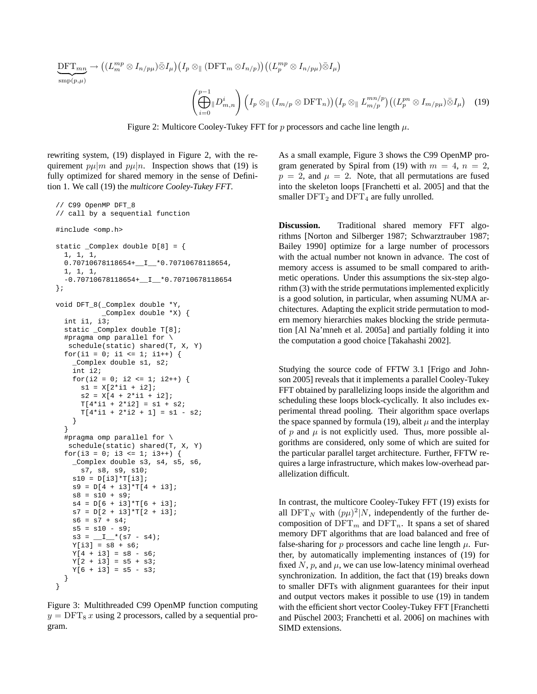$\overline{\text{DFT}_{mn}} \rightarrow$  $\text{sup}(p,\mu)$ ¡  $(L_m^{mp} \otimes I_{n/p\mu}) \bar{\otimes} I_\mu \big) \big(I_p \otimes_\parallel (\mathrm{DFT}_m \otimes I_{n/p}) \big) \big( (L_p^{mp} \otimes I_{n/p\mu}) \bar{\otimes} I_\mu \big)$  $\int_{0}^{p-1}$ 

$$
\left(\bigoplus_{i=0}^{p-1}\|D_{m,n}^i\right)\left(I_p\otimes_\parallel (I_{m/p}\otimes\mathrm{DFT}_n)\right)\left(I_p\otimes_\parallel L_{m/p}^{mn/p}\right)\left((L_p^{pn}\otimes I_{m/p\mu})\bar{\otimes}I_\mu\right)\quad (19)
$$

Figure 2: Multicore Cooley-Tukey FFT for p processors and cache line length  $\mu$ .

rewriting system, (19) displayed in Figure 2, with the requirement  $p\mu|m$  and  $p\mu|n$ . Inspection shows that (19) is fully optimized for shared memory in the sense of Definition 1. We call (19) the *multicore Cooley-Tukey FFT*.

```
// C99 OpenMP DFT_8
// call by a sequential function
#include <omp.h>
static _Complex double D[8] = {
 1, 1, 1,
 0.70710678118654+__I__*0.70710678118654,
 1, 1, 1,
  -0.70710678118654+__I__*0.70710678118654
};
void DFT_8(_Complex double *Y,
           _Complex double *X) {
  int i1, i3;
  static _Complex double T[8];
  #pragma omp parallel for \
  schedule(static) shared(T, X, Y)
  for(i1 = 0; i1 <= 1; i1++) {
   _Complex double s1, s2;
   int i2;
   for(i2 = 0; i2 <= 1; i2++) {
     s1 = X[2*11 + i2];s2 = X[4 + 2*11 + i2];T[4*11 + 2*12] = s1 + s2;T[4*11 + 2*12 + 1] = s1 - s2;}
  }
  #pragma omp parallel for \
  schedule(static) shared(T, X, Y)
 for(i3 = 0; i3 <= 1; i3++) {
   _Complex double s3, s4, s5, s6,
     s7, s8, s9, s10;
   s10 = D[i3]*T[i3];s9 = D[4 + i3]*T[4 + i3];s8 = s10 + s9;s4 = D[6 + i3]*T[6 + i3];s7 = D[2 + i3]*T[2 + i3];s6 = s7 + s4;s5 = s10 - s9;
   s3 = 1 * (s7 - s4);
   Y[i3] = s8 + s6;Y[4 + i3] = S8 - S6;Y[2 + i3] = S5 + S3;Y[6 + i3] = S5 - S3;}
}
```
Figure 3: Multithreaded C99 OpenMP function computing  $y = DFT_8 x$  using 2 processors, called by a sequential program.

As a small example, Figure 3 shows the C99 OpenMP program generated by Spiral from (19) with  $m = 4$ ,  $n = 2$ ,  $p = 2$ , and  $\mu = 2$ . Note, that all permutations are fused into the skeleton loops [Franchetti et al. 2005] and that the smaller  $DFT_2$  and  $DFT_4$  are fully unrolled.

**Discussion.** Traditional shared memory FFT algorithms [Norton and Silberger 1987; Schwarztrauber 1987; Bailey 1990] optimize for a large number of processors with the actual number not known in advance. The cost of memory access is assumed to be small compared to arithmetic operations. Under this assumptions the six-step algorithm (3) with the stride permutations implemented explicitly is a good solution, in particular, when assuming NUMA architectures. Adapting the explicit stride permutation to modern memory hierarchies makes blocking the stride permutation [Al Na'mneh et al. 2005a] and partially folding it into the computation a good choice [Takahashi 2002].

Studying the source code of FFTW 3.1 [Frigo and Johnson 2005] reveals that it implements a parallel Cooley-Tukey FFT obtained by parallelizing loops inside the algorithm and scheduling these loops block-cyclically. It also includes experimental thread pooling. Their algorithm space overlaps the space spanned by formula (19), albeit  $\mu$  and the interplay of p and  $\mu$  is not explicitly used. Thus, more possible algorithms are considered, only some of which are suited for the particular parallel target architecture. Further, FFTW requires a large infrastructure, which makes low-overhead parallelization difficult.

In contrast, the multicore Cooley-Tukey FFT (19) exists for all  $\text{DFT}_N$  with  $(p\mu)^2|N$ , independently of the further decomposition of  $\text{DFT}_m$  and  $\text{DFT}_n$ . It spans a set of shared memory DFT algorithms that are load balanced and free of false-sharing for  $p$  processors and cache line length  $\mu$ . Further, by automatically implementing instances of (19) for fixed  $N$ ,  $p$ , and  $\mu$ , we can use low-latency minimal overhead synchronization. In addition, the fact that (19) breaks down to smaller DFTs with alignment guarantees for their input and output vectors makes it possible to use (19) in tandem with the efficient short vector Cooley-Tukey FFT [Franchetti and Püschel 2003; Franchetti et al. 2006] on machines with SIMD extensions.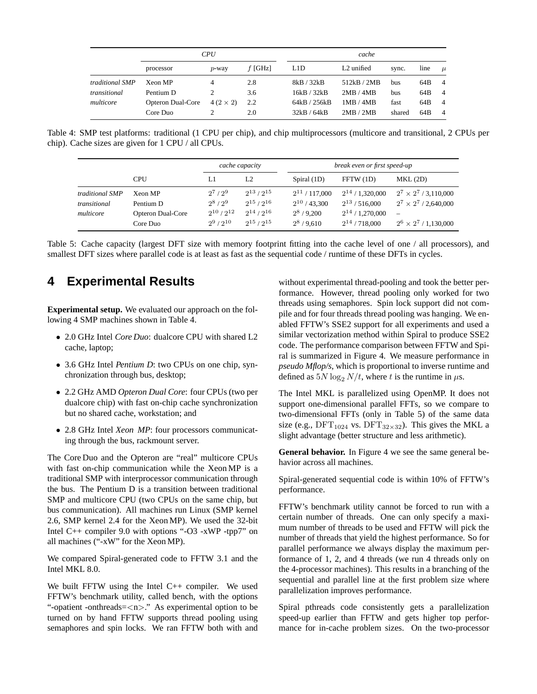|                 | <b>CPU</b>               |               | cache     |              |                        |        |      |                |
|-----------------|--------------------------|---------------|-----------|--------------|------------------------|--------|------|----------------|
|                 | processor                | $p$ -way      | $f$ [GHz] | L1D          | L <sub>2</sub> unified | sync.  | line | $\mu$          |
| traditional SMP | Xeon MP                  |               | 2.8       | 8kB / 32kB   | 512kB/2MB              | bus    | 64B  | $\overline{4}$ |
| transitional    | Pentium D                |               | 3.6       | 16kB / 32kB  | 2MB / 4MB              | bus    | 64B  | $\overline{4}$ |
| multicore       | <b>Opteron Dual-Core</b> | $4(2\times2)$ | 2.2       | 64kB / 256kB | 1MB / 4MB              | fast   | 64B  | $\overline{4}$ |
|                 | Core Duo                 |               | 2.0       | 32kB/64kB    | 2MB / 2MB              | shared | 64B  | $\overline{4}$ |

Table 4: SMP test platforms: traditional (1 CPU per chip), and chip multiprocessors (multicore and transitional, 2 CPUs per chip). Cache sizes are given for 1 CPU / all CPUs.

|                                              |                                                              | cache capacity                                            |                                                                                      | break even or first speed-up                                          |                                                                                          |                                                                                              |
|----------------------------------------------|--------------------------------------------------------------|-----------------------------------------------------------|--------------------------------------------------------------------------------------|-----------------------------------------------------------------------|------------------------------------------------------------------------------------------|----------------------------------------------------------------------------------------------|
|                                              | <b>CPU</b>                                                   | LI                                                        | L <sub>2</sub>                                                                       | Spiral (1D)                                                           | FFTW (1D)                                                                                | MKL(2D)                                                                                      |
| traditional SMP<br>transitional<br>multicore | Xeon MP<br>Pentium D<br><b>Opteron Dual-Core</b><br>Core Duo | $2^7/2^9$<br>$2^8/2^9$<br>$2^{10}/2^{12}$<br>$2^9/2^{10}$ | $2^{13}$ / $2^{15}$<br>$2^{15}/2^{16}$<br>$2^{14}$ / $2^{16}$<br>$2^{15}$ / $2^{15}$ | $2^{11}$ / 117,000<br>$2^{10}$ / 43.300<br>$2^8/9.200$<br>$2^8/9.610$ | $2^{14}$ / 1.320,000<br>$2^{13}$ / 516,000<br>$2^{14}$ / 1,270,000<br>$2^{14}$ / 718,000 | $2^7 \times 2^7 / 3,110,000$<br>$2^7 \times 2^7$ / 2.640,000<br>$2^6 \times 2^7$ / 1,130,000 |

Table 5: Cache capacity (largest DFT size with memory footprint fitting into the cache level of one / all processors), and smallest DFT sizes where parallel code is at least as fast as the sequential code / runtime of these DFTs in cycles.

## **4 Experimental Results**

**Experimental setup.** We evaluated our approach on the following 4 SMP machines shown in Table 4.

- 2.0 GHz Intel *Core Duo*: dualcore CPU with shared L2 cache, laptop;
- 3.6 GHz Intel *Pentium D*: two CPUs on one chip, synchronization through bus, desktop;
- 2.2 GHz AMD *Opteron Dual Core*: four CPUs (two per dualcore chip) with fast on-chip cache synchronization but no shared cache, workstation; and
- 2.8 GHz Intel *Xeon MP*: four processors communicating through the bus, rackmount server.

The Core Duo and the Opteron are "real" multicore CPUs with fast on-chip communication while the Xeon MP is a traditional SMP with interprocessor communication through the bus. The Pentium D is a transition between traditional SMP and multicore CPU (two CPUs on the same chip, but bus communication). All machines run Linux (SMP kernel 2.6, SMP kernel 2.4 for the Xeon MP). We used the 32-bit Intel C++ compiler 9.0 with options "-O3 -xWP -tpp7" on all machines ("-xW" for the Xeon MP).

We compared Spiral-generated code to FFTW 3.1 and the Intel MKL 8.0.

We built FFTW using the Intel C++ compiler. We used FFTW's benchmark utility, called bench, with the options "-opatient -onthreads=<n>." As experimental option to be turned on by hand FFTW supports thread pooling using semaphores and spin locks. We ran FFTW both with and

without experimental thread-pooling and took the better performance. However, thread pooling only worked for two threads using semaphores. Spin lock support did not compile and for four threads thread pooling was hanging. We enabled FFTW's SSE2 support for all experiments and used a similar vectorization method within Spiral to produce SSE2 code. The performance comparison between FFTW and Spiral is summarized in Figure 4. We measure performance in *pseudo Mflop/s*, which is proportional to inverse runtime and defined as  $5N \log_2 N/t$ , where t is the runtime in  $\mu$ s.

The Intel MKL is parallelized using OpenMP. It does not support one-dimensional parallel FFTs, so we compare to two-dimensional FFTs (only in Table 5) of the same data size (e.g.,  $DFT_{1024}$  vs.  $DFT_{32\times32}$ ). This gives the MKL a slight advantage (better structure and less arithmetic).

**General behavior.** In Figure 4 we see the same general behavior across all machines.

Spiral-generated sequential code is within 10% of FFTW's performance.

FFTW's benchmark utility cannot be forced to run with a certain number of threads. One can only specify a maximum number of threads to be used and FFTW will pick the number of threads that yield the highest performance. So for parallel performance we always display the maximum performance of 1, 2, and 4 threads (we run 4 threads only on the 4-processor machines). This results in a branching of the sequential and parallel line at the first problem size where parallelization improves performance.

Spiral pthreads code consistently gets a parallelization speed-up earlier than FFTW and gets higher top performance for in-cache problem sizes. On the two-processor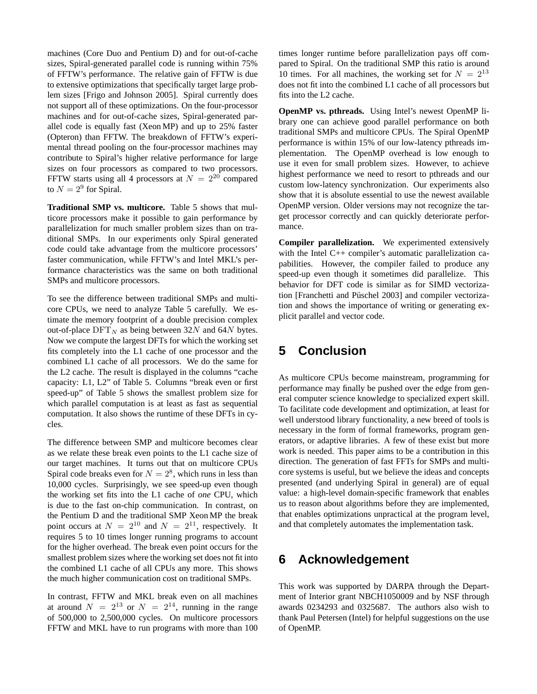machines (Core Duo and Pentium D) and for out-of-cache sizes, Spiral-generated parallel code is running within 75% of FFTW's performance. The relative gain of FFTW is due to extensive optimizations that specifically target large problem sizes [Frigo and Johnson 2005]. Spiral currently does not support all of these optimizations. On the four-processor machines and for out-of-cache sizes, Spiral-generated parallel code is equally fast (Xeon MP) and up to 25% faster (Opteron) than FFTW. The breakdown of FFTW's experimental thread pooling on the four-processor machines may contribute to Spiral's higher relative performance for large sizes on four processors as compared to two processors. FFTW starts using all 4 processors at  $N = 2^{20}$  compared to  $N = 2^9$  for Spiral.

**Traditional SMP vs. multicore.** Table 5 shows that multicore processors make it possible to gain performance by parallelization for much smaller problem sizes than on traditional SMPs. In our experiments only Spiral generated code could take advantage from the multicore processors' faster communication, while FFTW's and Intel MKL's performance characteristics was the same on both traditional SMPs and multicore processors.

To see the difference between traditional SMPs and multicore CPUs, we need to analyze Table 5 carefully. We estimate the memory footprint of a double precision complex out-of-place  $\text{DFT}_N$  as being between 32N and 64N bytes. Now we compute the largest DFTs for which the working set fits completely into the L1 cache of one processor and the combined L1 cache of all processors. We do the same for the L2 cache. The result is displayed in the columns "cache capacity: L1, L2" of Table 5. Columns "break even or first speed-up" of Table 5 shows the smallest problem size for which parallel computation is at least as fast as sequential computation. It also shows the runtime of these DFTs in cycles.

The difference between SMP and multicore becomes clear as we relate these break even points to the L1 cache size of our target machines. It turns out that on multicore CPUs Spiral code breaks even for  $N = 2^8$ , which runs in less than 10,000 cycles. Surprisingly, we see speed-up even though the working set fits into the L1 cache of *one* CPU, which is due to the fast on-chip communication. In contrast, on the Pentium D and the traditional SMP Xeon MP the break point occurs at  $N = 2^{10}$  and  $N = 2^{11}$ , respectively. It requires 5 to 10 times longer running programs to account for the higher overhead. The break even point occurs for the smallest problem sizes where the working set does not fit into the combined L1 cache of all CPUs any more. This shows the much higher communication cost on traditional SMPs.

In contrast, FFTW and MKL break even on all machines at around  $N = 2^{13}$  or  $N = 2^{14}$ , running in the range of 500,000 to 2,500,000 cycles. On multicore processors FFTW and MKL have to run programs with more than 100 times longer runtime before parallelization pays off compared to Spiral. On the traditional SMP this ratio is around 10 times. For all machines, the working set for  $N = 2^{13}$ does not fit into the combined L1 cache of all processors but fits into the L2 cache.

**OpenMP vs. pthreads.** Using Intel's newest OpenMP library one can achieve good parallel performance on both traditional SMPs and multicore CPUs. The Spiral OpenMP performance is within 15% of our low-latency pthreads implementation. The OpenMP overhead is low enough to use it even for small problem sizes. However, to achieve highest performance we need to resort to pthreads and our custom low-latency synchronization. Our experiments also show that it is absolute essential to use the newest available OpenMP version. Older versions may not recognize the target processor correctly and can quickly deteriorate performance.

**Compiler parallelization.** We experimented extensively with the Intel C++ compiler's automatic parallelization capabilities. However, the compiler failed to produce any speed-up even though it sometimes did parallelize. This behavior for DFT code is similar as for SIMD vectorization [Franchetti and Püschel 2003] and compiler vectorization and shows the importance of writing or generating explicit parallel and vector code.

## **5 Conclusion**

As multicore CPUs become mainstream, programming for performance may finally be pushed over the edge from general computer science knowledge to specialized expert skill. To facilitate code development and optimization, at least for well understood library functionality, a new breed of tools is necessary in the form of formal frameworks, program generators, or adaptive libraries. A few of these exist but more work is needed. This paper aims to be a contribution in this direction. The generation of fast FFTs for SMPs and multicore systems is useful, but we believe the ideas and concepts presented (and underlying Spiral in general) are of equal value: a high-level domain-specific framework that enables us to reason about algorithms before they are implemented, that enables optimizations unpractical at the program level, and that completely automates the implementation task.

## **6 Acknowledgement**

This work was supported by DARPA through the Department of Interior grant NBCH1050009 and by NSF through awards 0234293 and 0325687. The authors also wish to thank Paul Petersen (Intel) for helpful suggestions on the use of OpenMP.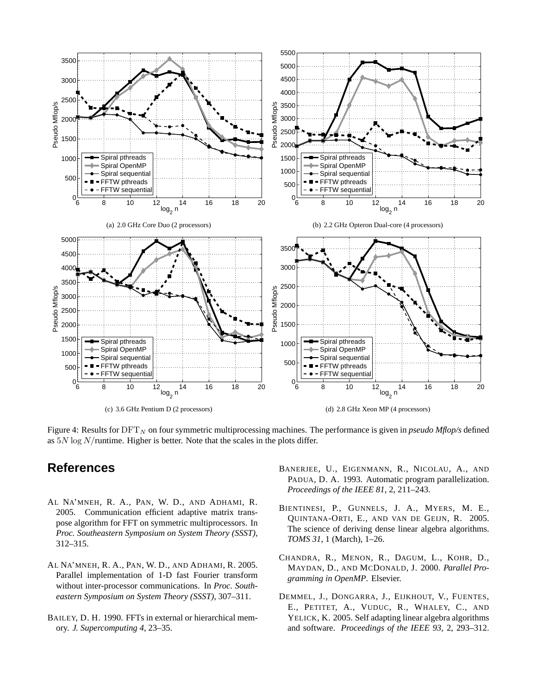

Figure 4: Results for  $DFT_N$  on four symmetric multiprocessing machines. The performance is given in *pseudo Mflop/s* defined as  $5N \log N$ /runtime. Higher is better. Note that the scales in the plots differ.

### **References**

- AL NA'MNEH, R. A., PAN, W. D., AND ADHAMI, R. 2005. Communication efficient adaptive matrix transpose algorithm for FFT on symmetric multiprocessors. In *Proc. Southeastern Symposium on System Theory (SSST)*, 312–315.
- AL NA'MNEH, R. A., PAN, W. D., AND ADHAMI, R. 2005. Parallel implementation of 1-D fast Fourier transform without inter-processor communications. In *Proc. Southeastern Symposium on System Theory (SSST)*, 307–311.
- BAILEY, D. H. 1990. FFTs in external or hierarchical memory. *J. Supercomputing 4*, 23–35.
- BANERJEE, U., EIGENMANN, R., NICOLAU, A., AND PADUA, D. A. 1993. Automatic program parallelization. *Proceedings of the IEEE 81*, 2, 211–243.
- BIENTINESI, P., GUNNELS, J. A., MYERS, M. E., QUINTANA-ORTI, E., AND VAN DE GEIJN, R. 2005. The science of deriving dense linear algebra algorithms. *TOMS 31*, 1 (March), 1–26.
- CHANDRA, R., MENON, R., DAGUM, L., KOHR, D., MAYDAN, D., AND MCDONALD, J. 2000. *Parallel Programming in OpenMP*. Elsevier.
- DEMMEL, J., DONGARRA, J., EIJKHOUT, V., FUENTES, E., PETITET, A., VUDUC, R., WHALEY, C., AND YELICK, K. 2005. Self adapting linear algebra algorithms and software. *Proceedings of the IEEE 93*, 2, 293–312.